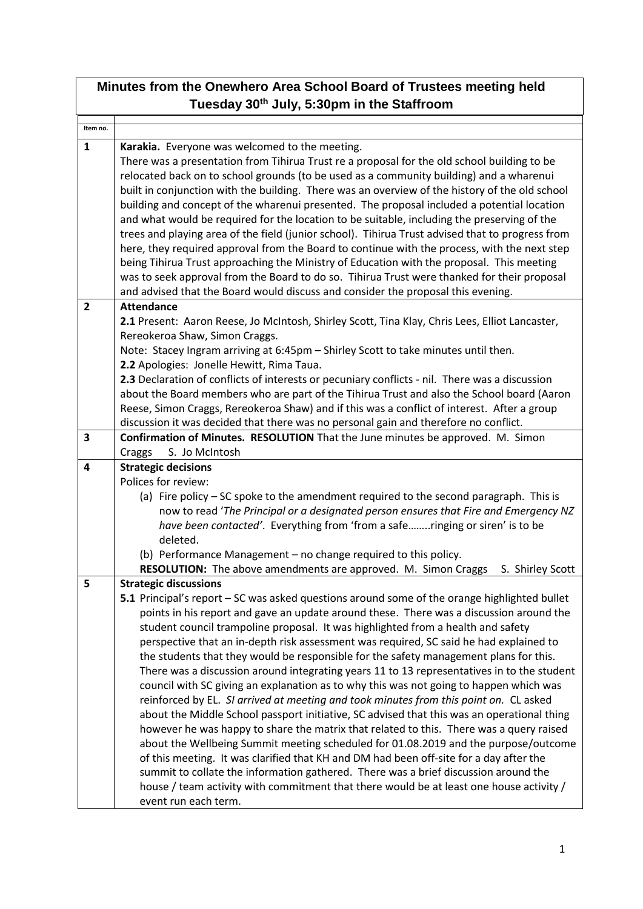| Minutes from the Onewhero Area School Board of Trustees meeting held |                                                                                                                                                                                                                                                                                                                                                                                                                                                                                                                                                                                                                                                                                                                                                                                                                                                                                                                                                                                                                                                                                                                                                                                                                                                                                                                                                                     |  |  |
|----------------------------------------------------------------------|---------------------------------------------------------------------------------------------------------------------------------------------------------------------------------------------------------------------------------------------------------------------------------------------------------------------------------------------------------------------------------------------------------------------------------------------------------------------------------------------------------------------------------------------------------------------------------------------------------------------------------------------------------------------------------------------------------------------------------------------------------------------------------------------------------------------------------------------------------------------------------------------------------------------------------------------------------------------------------------------------------------------------------------------------------------------------------------------------------------------------------------------------------------------------------------------------------------------------------------------------------------------------------------------------------------------------------------------------------------------|--|--|
| Tuesday 30th July, 5:30pm in the Staffroom                           |                                                                                                                                                                                                                                                                                                                                                                                                                                                                                                                                                                                                                                                                                                                                                                                                                                                                                                                                                                                                                                                                                                                                                                                                                                                                                                                                                                     |  |  |
| Item no.                                                             |                                                                                                                                                                                                                                                                                                                                                                                                                                                                                                                                                                                                                                                                                                                                                                                                                                                                                                                                                                                                                                                                                                                                                                                                                                                                                                                                                                     |  |  |
| $\mathbf{1}$                                                         | Karakia. Everyone was welcomed to the meeting.<br>There was a presentation from Tihirua Trust re a proposal for the old school building to be<br>relocated back on to school grounds (to be used as a community building) and a wharenui<br>built in conjunction with the building. There was an overview of the history of the old school<br>building and concept of the wharenui presented. The proposal included a potential location<br>and what would be required for the location to be suitable, including the preserving of the<br>trees and playing area of the field (junior school). Tihirua Trust advised that to progress from<br>here, they required approval from the Board to continue with the process, with the next step<br>being Tihirua Trust approaching the Ministry of Education with the proposal. This meeting<br>was to seek approval from the Board to do so. Tihirua Trust were thanked for their proposal<br>and advised that the Board would discuss and consider the proposal this evening.                                                                                                                                                                                                                                                                                                                                         |  |  |
| $\overline{2}$                                                       | <b>Attendance</b><br>2.1 Present: Aaron Reese, Jo McIntosh, Shirley Scott, Tina Klay, Chris Lees, Elliot Lancaster,<br>Rereokeroa Shaw, Simon Craggs.<br>Note: Stacey Ingram arriving at 6:45pm - Shirley Scott to take minutes until then.<br>2.2 Apologies: Jonelle Hewitt, Rima Taua.<br>2.3 Declaration of conflicts of interests or pecuniary conflicts - nil. There was a discussion<br>about the Board members who are part of the Tihirua Trust and also the School board (Aaron<br>Reese, Simon Craggs, Rereokeroa Shaw) and if this was a conflict of interest. After a group<br>discussion it was decided that there was no personal gain and therefore no conflict.                                                                                                                                                                                                                                                                                                                                                                                                                                                                                                                                                                                                                                                                                     |  |  |
| 3                                                                    | Confirmation of Minutes. RESOLUTION That the June minutes be approved. M. Simon                                                                                                                                                                                                                                                                                                                                                                                                                                                                                                                                                                                                                                                                                                                                                                                                                                                                                                                                                                                                                                                                                                                                                                                                                                                                                     |  |  |
|                                                                      | S. Jo McIntosh<br>Craggs                                                                                                                                                                                                                                                                                                                                                                                                                                                                                                                                                                                                                                                                                                                                                                                                                                                                                                                                                                                                                                                                                                                                                                                                                                                                                                                                            |  |  |
| 4                                                                    | <b>Strategic decisions</b><br>Polices for review:<br>(a) Fire policy – SC spoke to the amendment required to the second paragraph. This is<br>now to read 'The Principal or a designated person ensures that Fire and Emergency NZ<br>have been contacted'. Everything from 'from a saferinging or siren' is to be<br>deleted.<br>(b) Performance Management - no change required to this policy.<br>RESOLUTION: The above amendments are approved. M. Simon Craggs<br>S. Shirley Scott                                                                                                                                                                                                                                                                                                                                                                                                                                                                                                                                                                                                                                                                                                                                                                                                                                                                             |  |  |
| 5                                                                    | <b>Strategic discussions</b><br>5.1 Principal's report - SC was asked questions around some of the orange highlighted bullet<br>points in his report and gave an update around these. There was a discussion around the<br>student council trampoline proposal. It was highlighted from a health and safety<br>perspective that an in-depth risk assessment was required, SC said he had explained to<br>the students that they would be responsible for the safety management plans for this.<br>There was a discussion around integrating years 11 to 13 representatives in to the student<br>council with SC giving an explanation as to why this was not going to happen which was<br>reinforced by EL. SI arrived at meeting and took minutes from this point on. CL asked<br>about the Middle School passport initiative, SC advised that this was an operational thing<br>however he was happy to share the matrix that related to this. There was a query raised<br>about the Wellbeing Summit meeting scheduled for 01.08.2019 and the purpose/outcome<br>of this meeting. It was clarified that KH and DM had been off-site for a day after the<br>summit to collate the information gathered. There was a brief discussion around the<br>house / team activity with commitment that there would be at least one house activity /<br>event run each term. |  |  |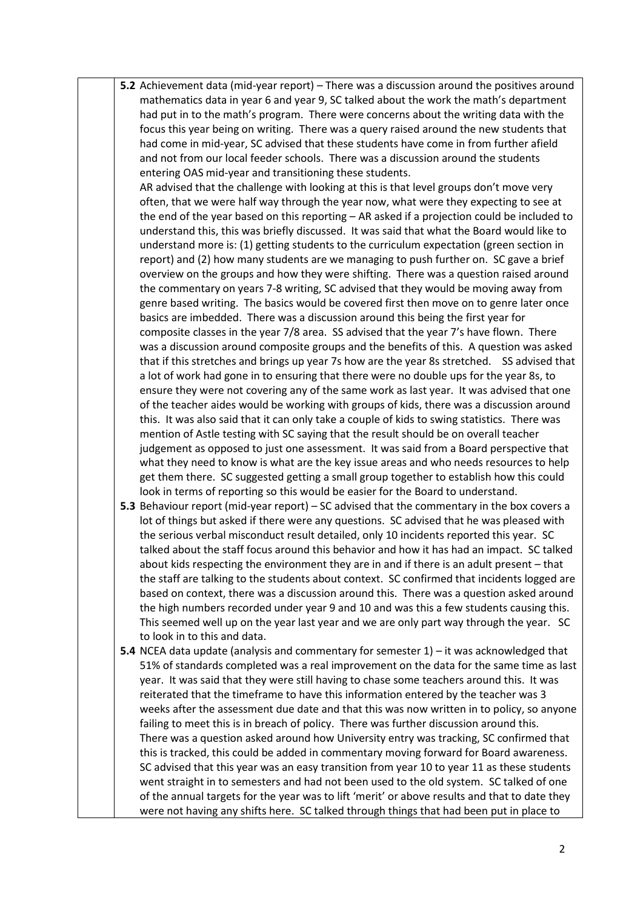**5.2** Achievement data (mid-year report) – There was a discussion around the positives around mathematics data in year 6 and year 9, SC talked about the work the math's department had put in to the math's program. There were concerns about the writing data with the focus this year being on writing. There was a query raised around the new students that had come in mid-year, SC advised that these students have come in from further afield and not from our local feeder schools. There was a discussion around the students entering OAS mid-year and transitioning these students.

AR advised that the challenge with looking at this is that level groups don't move very often, that we were half way through the year now, what were they expecting to see at the end of the year based on this reporting – AR asked if a projection could be included to understand this, this was briefly discussed. It was said that what the Board would like to understand more is: (1) getting students to the curriculum expectation (green section in report) and (2) how many students are we managing to push further on. SC gave a brief overview on the groups and how they were shifting. There was a question raised around the commentary on years 7-8 writing, SC advised that they would be moving away from genre based writing. The basics would be covered first then move on to genre later once basics are imbedded. There was a discussion around this being the first year for composite classes in the year 7/8 area. SS advised that the year 7's have flown. There was a discussion around composite groups and the benefits of this. A question was asked that if this stretches and brings up year 7s how are the year 8s stretched. SS advised that a lot of work had gone in to ensuring that there were no double ups for the year 8s, to ensure they were not covering any of the same work as last year. It was advised that one of the teacher aides would be working with groups of kids, there was a discussion around this. It was also said that it can only take a couple of kids to swing statistics. There was mention of Astle testing with SC saying that the result should be on overall teacher judgement as opposed to just one assessment. It was said from a Board perspective that what they need to know is what are the key issue areas and who needs resources to help get them there. SC suggested getting a small group together to establish how this could look in terms of reporting so this would be easier for the Board to understand.

- **5.3** Behaviour report (mid-year report) SC advised that the commentary in the box covers a lot of things but asked if there were any questions. SC advised that he was pleased with the serious verbal misconduct result detailed, only 10 incidents reported this year. SC talked about the staff focus around this behavior and how it has had an impact. SC talked about kids respecting the environment they are in and if there is an adult present – that the staff are talking to the students about context. SC confirmed that incidents logged are based on context, there was a discussion around this. There was a question asked around the high numbers recorded under year 9 and 10 and was this a few students causing this. This seemed well up on the year last year and we are only part way through the year. SC to look in to this and data.
- **5.4** NCEA data update (analysis and commentary for semester 1) it was acknowledged that 51% of standards completed was a real improvement on the data for the same time as last year. It was said that they were still having to chase some teachers around this. It was reiterated that the timeframe to have this information entered by the teacher was 3 weeks after the assessment due date and that this was now written in to policy, so anyone failing to meet this is in breach of policy. There was further discussion around this. There was a question asked around how University entry was tracking, SC confirmed that this is tracked, this could be added in commentary moving forward for Board awareness. SC advised that this year was an easy transition from year 10 to year 11 as these students went straight in to semesters and had not been used to the old system. SC talked of one of the annual targets for the year was to lift 'merit' or above results and that to date they were not having any shifts here. SC talked through things that had been put in place to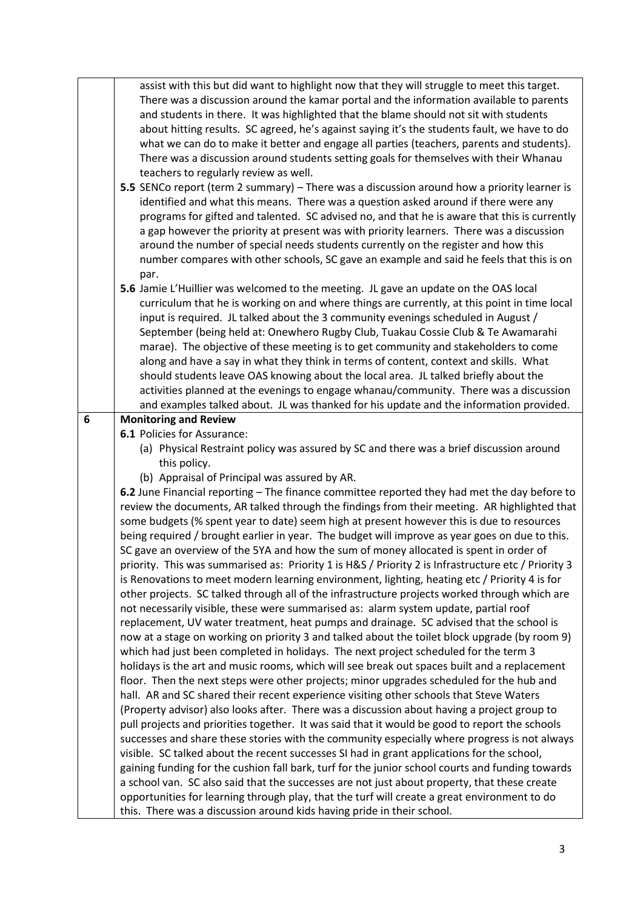|   | assist with this but did want to highlight now that they will struggle to meet this target.                                                                            |
|---|------------------------------------------------------------------------------------------------------------------------------------------------------------------------|
|   | There was a discussion around the kamar portal and the information available to parents                                                                                |
|   | and students in there. It was highlighted that the blame should not sit with students                                                                                  |
|   | about hitting results. SC agreed, he's against saying it's the students fault, we have to do                                                                           |
|   | what we can do to make it better and engage all parties (teachers, parents and students).                                                                              |
|   | There was a discussion around students setting goals for themselves with their Whanau                                                                                  |
|   |                                                                                                                                                                        |
|   | teachers to regularly review as well.                                                                                                                                  |
|   | 5.5 SENCo report (term 2 summary) – There was a discussion around how a priority learner is                                                                            |
|   | identified and what this means. There was a question asked around if there were any                                                                                    |
|   | programs for gifted and talented. SC advised no, and that he is aware that this is currently                                                                           |
|   | a gap however the priority at present was with priority learners. There was a discussion                                                                               |
|   | around the number of special needs students currently on the register and how this                                                                                     |
|   | number compares with other schools, SC gave an example and said he feels that this is on                                                                               |
|   | par.                                                                                                                                                                   |
|   | 5.6 Jamie L'Huillier was welcomed to the meeting. JL gave an update on the OAS local                                                                                   |
|   | curriculum that he is working on and where things are currently, at this point in time local                                                                           |
|   | input is required. JL talked about the 3 community evenings scheduled in August /                                                                                      |
|   | September (being held at: Onewhero Rugby Club, Tuakau Cossie Club & Te Awamarahi                                                                                       |
|   | marae). The objective of these meeting is to get community and stakeholders to come                                                                                    |
|   | along and have a say in what they think in terms of content, context and skills. What                                                                                  |
|   |                                                                                                                                                                        |
|   | should students leave OAS knowing about the local area. JL talked briefly about the                                                                                    |
|   | activities planned at the evenings to engage whanau/community. There was a discussion                                                                                  |
|   | and examples talked about. JL was thanked for his update and the information provided.                                                                                 |
| 6 | <b>Monitoring and Review</b>                                                                                                                                           |
|   | 6.1 Policies for Assurance:                                                                                                                                            |
|   | (a) Physical Restraint policy was assured by SC and there was a brief discussion around                                                                                |
|   | this policy.                                                                                                                                                           |
|   | (b) Appraisal of Principal was assured by AR.                                                                                                                          |
|   | 6.2 June Financial reporting - The finance committee reported they had met the day before to                                                                           |
|   | review the documents, AR talked through the findings from their meeting. AR highlighted that                                                                           |
|   | some budgets (% spent year to date) seem high at present however this is due to resources                                                                              |
|   | being required / brought earlier in year. The budget will improve as year goes on due to this.                                                                         |
|   | SC gave an overview of the 5YA and how the sum of money allocated is spent in order of                                                                                 |
|   | priority. This was summarised as: Priority 1 is H&S / Priority 2 is Infrastructure etc / Priority 3                                                                    |
|   | is Renovations to meet modern learning environment, lighting, heating etc / Priority 4 is for                                                                          |
|   | other projects. SC talked through all of the infrastructure projects worked through which are                                                                          |
|   | not necessarily visible, these were summarised as: alarm system update, partial roof                                                                                   |
|   | replacement, UV water treatment, heat pumps and drainage. SC advised that the school is                                                                                |
|   |                                                                                                                                                                        |
|   | now at a stage on working on priority 3 and talked about the toilet block upgrade (by room 9)                                                                          |
|   | which had just been completed in holidays. The next project scheduled for the term 3                                                                                   |
|   | holidays is the art and music rooms, which will see break out spaces built and a replacement                                                                           |
|   | floor. Then the next steps were other projects; minor upgrades scheduled for the hub and                                                                               |
|   | hall. AR and SC shared their recent experience visiting other schools that Steve Waters                                                                                |
|   | (Property advisor) also looks after. There was a discussion about having a project group to                                                                            |
|   | pull projects and priorities together. It was said that it would be good to report the schools                                                                         |
|   | successes and share these stories with the community especially where progress is not always                                                                           |
|   | visible. SC talked about the recent successes SI had in grant applications for the school,                                                                             |
|   |                                                                                                                                                                        |
|   |                                                                                                                                                                        |
|   | gaining funding for the cushion fall bark, turf for the junior school courts and funding towards                                                                       |
|   | a school van. SC also said that the successes are not just about property, that these create                                                                           |
|   | opportunities for learning through play, that the turf will create a great environment to do<br>this. There was a discussion around kids having pride in their school. |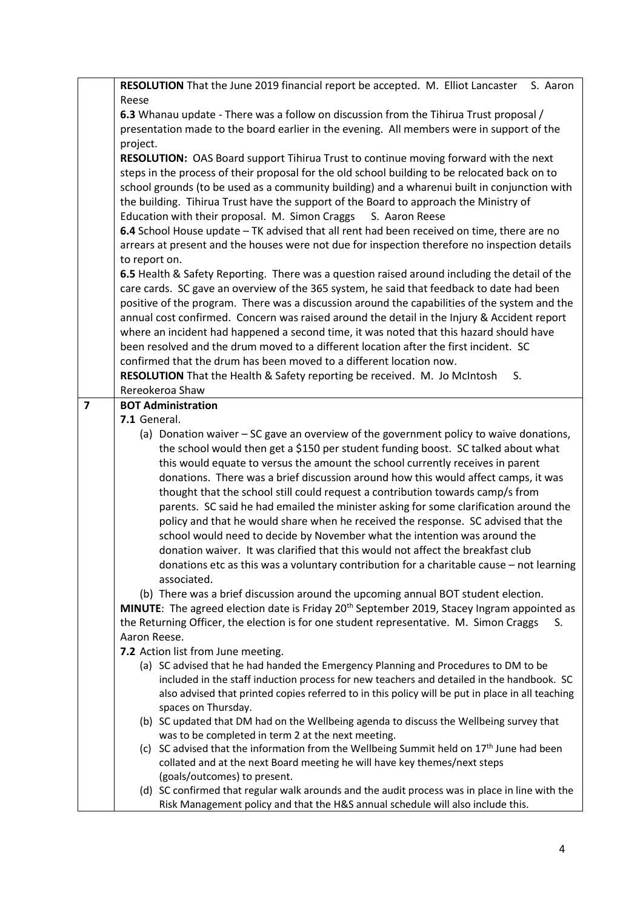|                | RESOLUTION That the June 2019 financial report be accepted. M. Elliot Lancaster S. Aaron                                                                                                     |
|----------------|----------------------------------------------------------------------------------------------------------------------------------------------------------------------------------------------|
|                | Reese                                                                                                                                                                                        |
|                | 6.3 Whanau update - There was a follow on discussion from the Tihirua Trust proposal /                                                                                                       |
|                | presentation made to the board earlier in the evening. All members were in support of the                                                                                                    |
|                | project.                                                                                                                                                                                     |
|                | RESOLUTION: OAS Board support Tihirua Trust to continue moving forward with the next                                                                                                         |
|                | steps in the process of their proposal for the old school building to be relocated back on to                                                                                                |
|                | school grounds (to be used as a community building) and a wharenui built in conjunction with                                                                                                 |
|                | the building. Tihirua Trust have the support of the Board to approach the Ministry of                                                                                                        |
|                | Education with their proposal. M. Simon Craggs<br>S. Aaron Reese                                                                                                                             |
|                | 6.4 School House update - TK advised that all rent had been received on time, there are no                                                                                                   |
|                | arrears at present and the houses were not due for inspection therefore no inspection details                                                                                                |
|                | to report on.                                                                                                                                                                                |
|                |                                                                                                                                                                                              |
|                | 6.5 Health & Safety Reporting. There was a question raised around including the detail of the                                                                                                |
|                | care cards. SC gave an overview of the 365 system, he said that feedback to date had been                                                                                                    |
|                | positive of the program. There was a discussion around the capabilities of the system and the<br>annual cost confirmed. Concern was raised around the detail in the Injury & Accident report |
|                |                                                                                                                                                                                              |
|                | where an incident had happened a second time, it was noted that this hazard should have<br>been resolved and the drum moved to a different location after the first incident. SC             |
|                | confirmed that the drum has been moved to a different location now.                                                                                                                          |
|                |                                                                                                                                                                                              |
|                | RESOLUTION That the Health & Safety reporting be received. M. Jo McIntosh<br>S.<br>Rereokeroa Shaw                                                                                           |
| $\overline{7}$ | <b>BOT Administration</b>                                                                                                                                                                    |
|                | 7.1 General.                                                                                                                                                                                 |
|                | (a) Donation waiver - SC gave an overview of the government policy to waive donations,                                                                                                       |
|                | the school would then get a \$150 per student funding boost. SC talked about what                                                                                                            |
|                | this would equate to versus the amount the school currently receives in parent                                                                                                               |
|                | donations. There was a brief discussion around how this would affect camps, it was                                                                                                           |
|                | thought that the school still could request a contribution towards camp/s from                                                                                                               |
|                | parents. SC said he had emailed the minister asking for some clarification around the                                                                                                        |
|                | policy and that he would share when he received the response. SC advised that the                                                                                                            |
|                | school would need to decide by November what the intention was around the                                                                                                                    |
|                | donation waiver. It was clarified that this would not affect the breakfast club                                                                                                              |
|                | donations etc as this was a voluntary contribution for a charitable cause - not learning                                                                                                     |
|                | associated.                                                                                                                                                                                  |
|                | (b) There was a brief discussion around the upcoming annual BOT student election.                                                                                                            |
|                | MINUTE: The agreed election date is Friday 20 <sup>th</sup> September 2019, Stacey Ingram appointed as                                                                                       |
|                | the Returning Officer, the election is for one student representative. M. Simon Craggs<br>S.                                                                                                 |
|                | Aaron Reese.                                                                                                                                                                                 |
|                | 7.2 Action list from June meeting.                                                                                                                                                           |
|                | (a) SC advised that he had handed the Emergency Planning and Procedures to DM to be                                                                                                          |
|                | included in the staff induction process for new teachers and detailed in the handbook. SC                                                                                                    |
|                | also advised that printed copies referred to in this policy will be put in place in all teaching                                                                                             |
|                | spaces on Thursday.                                                                                                                                                                          |
|                | (b) SC updated that DM had on the Wellbeing agenda to discuss the Wellbeing survey that                                                                                                      |
|                | was to be completed in term 2 at the next meeting.                                                                                                                                           |
|                | (c) SC advised that the information from the Wellbeing Summit held on $17th$ June had been                                                                                                   |
|                | collated and at the next Board meeting he will have key themes/next steps                                                                                                                    |
|                | (goals/outcomes) to present.                                                                                                                                                                 |
|                | (d) SC confirmed that regular walk arounds and the audit process was in place in line with the                                                                                               |
|                | Risk Management policy and that the H&S annual schedule will also include this.                                                                                                              |